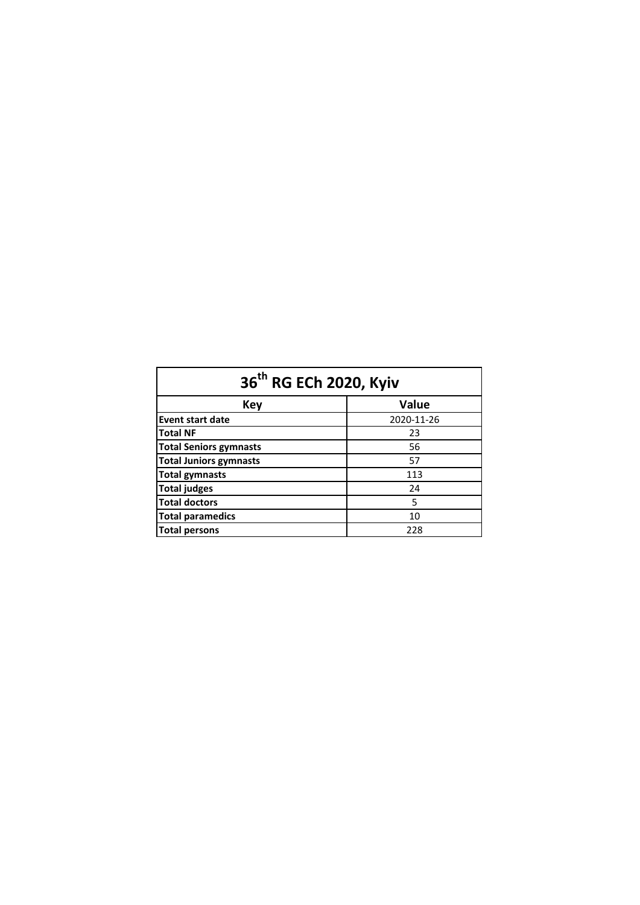| 36 <sup>th</sup> RG ECh 2020, Kyiv |            |  |  |  |  |  |
|------------------------------------|------------|--|--|--|--|--|
| Key                                | Value      |  |  |  |  |  |
| <b>Event start date</b>            | 2020-11-26 |  |  |  |  |  |
| <b>Total NF</b>                    | 23         |  |  |  |  |  |
| <b>Total Seniors gymnasts</b>      | 56         |  |  |  |  |  |
| <b>Total Juniors gymnasts</b>      | 57         |  |  |  |  |  |
| <b>Total gymnasts</b>              | 113        |  |  |  |  |  |
| <b>Total judges</b>                | 24         |  |  |  |  |  |
| <b>Total doctors</b>               | 5          |  |  |  |  |  |
| <b>Total paramedics</b>            | 10         |  |  |  |  |  |
| <b>Total persons</b>               | 228        |  |  |  |  |  |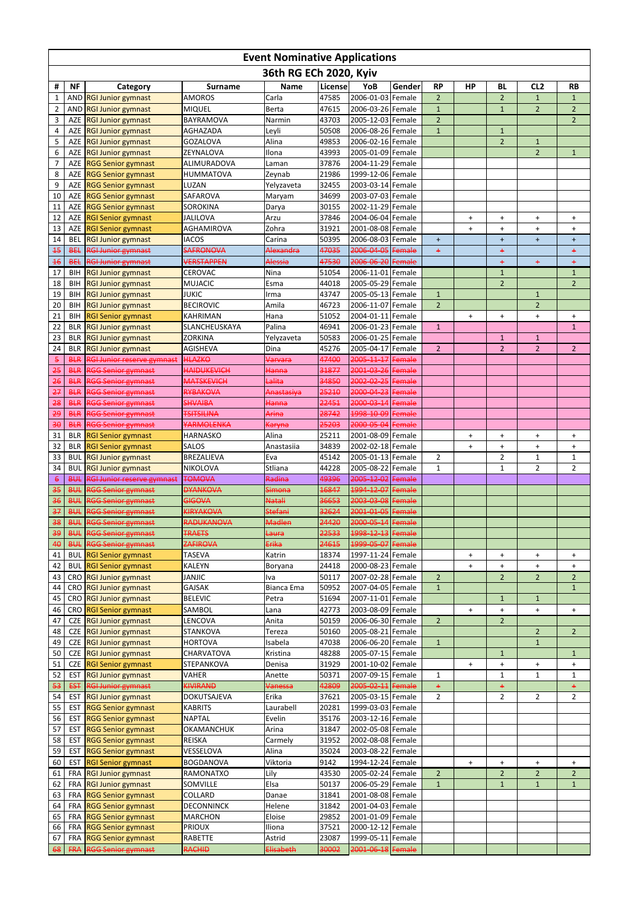|                       | <b>Event Nominative Applications</b> |                                                            |                                         |                           |                |                                        |                         |                                |           |                                  |                                |                                  |
|-----------------------|--------------------------------------|------------------------------------------------------------|-----------------------------------------|---------------------------|----------------|----------------------------------------|-------------------------|--------------------------------|-----------|----------------------------------|--------------------------------|----------------------------------|
|                       |                                      |                                                            |                                         | 36th RG ECh 2020, Kyiv    |                |                                        |                         |                                |           |                                  |                                |                                  |
| Ħ                     | <b>NF</b>                            | Category                                                   | <b>Surname</b>                          | <b>Name</b>               | License        | YoB                                    | Gender                  | <b>RP</b>                      | <b>HP</b> | <b>BL</b>                        | CL <sub>2</sub>                | <b>RB</b>                        |
| 1                     |                                      | AND RGI Junior gymnast                                     | <b>AMOROS</b>                           | Carla                     | 47585          | 2006-01-03 Female                      |                         | $\overline{2}$                 |           | $\overline{2}$                   | $\mathbf{1}$                   | 1                                |
| $\overline{2}$<br>3   | AZE                                  | AND RGI Junior gymnast<br><b>RGI Junior gymnast</b>        | <b>MIQUEL</b><br>BAYRAMOVA              | <b>Berta</b><br>Narmin    | 47615<br>43703 | 2006-03-26 Female<br>2005-12-03 Female |                         | $\mathbf{1}$<br>$\overline{2}$ |           | $\mathbf{1}$                     | $\overline{2}$                 | $\overline{2}$<br>$\overline{2}$ |
| 4                     |                                      | AZE RGI Junior gymnast                                     | <b>AGHAZADA</b>                         | Leyli                     | 50508          | 2006-08-26 Female                      |                         | $\mathbf{1}$                   |           | $\mathbf{1}$                     |                                |                                  |
| 5                     | <b>AZE</b>                           | <b>RGI Junior gymnast</b>                                  | <b>GOZALOVA</b>                         | Alina                     | 49853          | 2006-02-16 Female                      |                         |                                |           | $\overline{2}$                   | $\mathbf{1}$                   |                                  |
| 6                     |                                      | AZE RGI Junior gymnast                                     | ZEYNALOVA                               | Ilona                     | 43993          | 2005-01-09 Female                      |                         |                                |           |                                  | $\overline{2}$                 | $\mathbf{1}$                     |
| 7                     |                                      | AZE RGG Senior gymnast                                     | ALIMURADOVA                             | Laman                     | 37876          | 2004-11-29 Female                      |                         |                                |           |                                  |                                |                                  |
| 8                     | <b>AZE</b>                           | <b>RGG Senior gymnast</b>                                  | <b>HUMMATOVA</b>                        | Zeynab                    | 21986          | 1999-12-06 Female                      |                         |                                |           |                                  |                                |                                  |
| 9<br>10               | <b>AZE</b>                           | AZE RGG Senior gymnast<br><b>RGG Senior gymnast</b>        | LUZAN<br>SAFAROVA                       | Yelyzaveta<br>Maryam      | 32455<br>34699 | 2003-03-14 Female<br>2003-07-03 Female |                         |                                |           |                                  |                                |                                  |
| 11                    |                                      | AZE RGG Senior gymnast                                     | <b>SOROKINA</b>                         | Darya                     | 30155          | 2002-11-29 Female                      |                         |                                |           |                                  |                                |                                  |
| 12                    |                                      | AZE RGI Senior gymnast                                     | <b>JALILOVA</b>                         | Arzu                      | 37846          | 2004-06-04 Female                      |                         |                                | $\ddot{}$ | $\ddot{}$                        | $\ddot{}$                      | $+$                              |
| 13                    |                                      | AZE RGI Senior gymnast                                     | <b>AGHAMIROVA</b>                       | Zohra                     | 31921          | 2001-08-08 Female                      |                         |                                | $+$       | $\ddot{}$                        | $\ddot{}$                      | $+$                              |
| 14                    | <b>BEL</b>                           | <b>RGI Junior gymnast</b>                                  | <b>IACOS</b>                            | Carina                    | 50395          | 2006-08-03 Female                      |                         | $\ddot{}$                      |           | $\ddot{}$                        | $\ddot{}$                      | $\ddot{}$                        |
| 45                    | <b>BEL</b>                           | <b>RGI Junior gymnast</b>                                  | <b>SAFRONOVA</b>                        | Alexandra                 | 47035          | 2006-04-05                             | Female                  | $+$                            |           | $\ddot{}$                        |                                | ÷                                |
| 46                    | <b>BEL</b>                           | <b>RGI Junior gymnast</b>                                  | <b>VERSTAPPEN</b>                       | Alessia                   | 47530          | 2006-06-20 Female                      |                         |                                |           | $\ddot{}$                        | $+$                            | $\ddot{}$                        |
| 17<br>18              | <b>BIH</b><br><b>BIH</b>             | <b>RGI Junior gymnast</b><br><b>RGI Junior gymnast</b>     | <b>CEROVAC</b><br><b>MUJACIC</b>        | Nina<br>Esma              | 51054<br>44018 | 2006-11-01 Female<br>2005-05-29 Female |                         |                                |           | $\mathbf{1}$<br>$\overline{2}$   |                                | $\mathbf{1}$<br>$\overline{2}$   |
| 19                    | <b>BIH</b>                           | <b>RGI Junior gymnast</b>                                  | <b>JUKIC</b>                            | Irma                      | 43747          | 2005-05-13 Female                      |                         | $\mathbf{1}$                   |           |                                  | $\mathbf{1}$                   |                                  |
| 20                    | <b>BIH</b>                           | <b>RGI Junior gymnast</b>                                  | <b>BECIROVIC</b>                        | Amila                     | 46723          | 2006-11-07 Female                      |                         | $\overline{2}$                 |           |                                  | $\overline{2}$                 |                                  |
| 21                    | <b>BIH</b>                           | <b>RGI Senior gymnast</b>                                  | <b>KAHRIMAN</b>                         | Hana                      | 51052          | 2004-01-11 Female                      |                         |                                | $\ddot{}$ | $\ddot{}$                        | $\ddot{}$                      | $\ddot{}$                        |
| 22                    | <b>BLR</b>                           | <b>RGI Junior gymnast</b>                                  | SLANCHEUSKAYA                           | Palina                    | 46941          | 2006-01-23 Female                      |                         | $\mathbf{1}$                   |           |                                  |                                | $\mathbf{1}$                     |
| 23                    | <b>BLR</b>                           | <b>RGI Junior gymnast</b>                                  | <b>ZORKINA</b>                          | Yelyzaveta                | 50583          | 2006-01-25 Female                      |                         |                                |           | $\mathbf{1}$                     | $\mathbf 1$                    |                                  |
| 24                    | <b>BLR</b>                           | <b>RGI Junior gymnast</b>                                  | <b>AGISHEVA</b>                         | Dina                      | 45276          | 2005-04-17 Female                      |                         | $\overline{2}$                 |           | $\overline{2}$                   | $\overline{2}$                 | $\overline{2}$                   |
| $\overline{5}$        | <b>BLR</b>                           | <b>RGI Junior reserve gymnast</b>                          | <b>HLAZKO</b>                           | Varvara                   | 47400          | 2005-11-17<br>2001-03-26 Female        | Female                  |                                |           |                                  |                                |                                  |
| 25<br>26              | <b>BLR</b>                           | <b>RGG Senior gymnast</b><br><b>BLR RGG Senior gymnast</b> | <b>HAIDUKEVICH</b><br><b>MATSKEVICH</b> | <b>Hanna</b><br>Lalita    | 31877<br>34850 | 2002-02-25 Female                      |                         |                                |           |                                  |                                |                                  |
| 27                    | <b>BLR</b>                           | <b>RGG Senior gymnast</b>                                  | RYBAKOVA                                | Anastasiya                | 25210          | 2000-04-23                             | <b>Female</b>           |                                |           |                                  |                                |                                  |
| 28                    | <b>BLR</b>                           | <b>RGG Senior gymnast</b>                                  | <b>SHVAIBA</b>                          | <b>Hanna</b>              | 22451          | 2000-03-14                             | Female                  |                                |           |                                  |                                |                                  |
| 29                    | <b>BLR</b>                           | <b>RGG Senior gymnast</b>                                  | <b>TSITSILINA</b>                       | Arina                     | 28742          | 1998-10-09 Female                      |                         |                                |           |                                  |                                |                                  |
| 36                    | <b>BLR</b>                           | <b>RGG Senior gymnast</b>                                  | YARMOLENKA                              | <del>Karyna</del>         | 25203          | 2000-05-04 Female                      |                         |                                |           |                                  |                                |                                  |
| 31                    | <b>BLR</b>                           | <b>RGI Senior gymnast</b>                                  | <b>HARNASKO</b>                         | Alina                     | 25211          | 2001-08-09 Female                      |                         |                                | $\ddot{}$ | $\pmb{+}$                        | $+$                            | $\ddot{}$                        |
| 32                    |                                      | <b>BLR</b> RGI Senior gymnast                              | <b>SALOS</b>                            | Anastasiia                | 34839          | 2002-02-18 Female                      |                         |                                | $\ddot{}$ | $\ddot{}$                        | $\ddot{}$                      | $\ddot{}$                        |
| 33<br>34              | <b>BUL</b><br><b>BUL</b>             | <b>RGI Junior gymnast</b><br><b>RGI Junior gymnast</b>     | <b>BREZALIEVA</b><br>NIKOLOVA           | Eva<br>Stliana            | 45142<br>44228 | 2005-01-13 Female<br>2005-08-22 Female |                         | $\overline{2}$<br>1            |           | $\overline{2}$<br>1              | $\mathbf{1}$<br>$\overline{2}$ | 1<br>$\overline{2}$              |
| $\boldsymbol{\theta}$ | <b>BUL</b>                           | <b>RGI Junior reserve gymnast</b>                          | <b>TOMOVA</b>                           | Radina                    | 49396          | 2005-12-02 Female                      |                         |                                |           |                                  |                                |                                  |
| 35                    | <b>BUL</b>                           | RGG Senior gymnast                                         | <b>DYANKOVA</b>                         | <del>Simona</del>         | 16847          | 1994-12-07                             | Female                  |                                |           |                                  |                                |                                  |
| 36                    | <b>BUL</b>                           | <b>RGG Senior gymnast</b>                                  | <b>GIGOVA</b>                           | <b>Natali</b>             | 36653          | 2003-03-08                             | Female                  |                                |           |                                  |                                |                                  |
| 37                    | <b>BUL</b>                           | <b>RGG Senior gymnast</b>                                  | <b>KIRYAKOVA</b>                        | <b>Stefani</b>            | 32624          | 2001-01-05                             | Female                  |                                |           |                                  |                                |                                  |
| 38                    | <b>BUL</b>                           | <b>RGG Senior gymnast</b>                                  | <b>RADUKANOVA</b>                       | Madlen                    | 24420          | 2000-05-14                             | Female                  |                                |           |                                  |                                |                                  |
| 39<br>40              | <b>BUL</b><br><b>BUL</b>             | <b>RGG Senior gymnast</b><br><b>RGG Senior gymnast</b>     | <b>TRAETS</b><br><b>ZAFIROVA</b>        | <del>Laura</del><br>Erika | 22533<br>24615 | 1998-12-13<br>1999-05-07               | Female<br><b>Female</b> |                                |           |                                  |                                |                                  |
| 41                    | <b>BUL</b>                           | <b>RGI Senior gymnast</b>                                  | <b>TASEVA</b>                           | Katrin                    | 18374          | 1997-11-24 Female                      |                         |                                | $\ddot{}$ | $\ddot{}$                        | $\ddot{}$                      | $\ddot{}$                        |
| 42                    | <b>BUL</b>                           | <b>RGI Senior gymnast</b>                                  | <b>KALEYN</b>                           | Boryana                   | 24418          | 2000-08-23 Female                      |                         |                                | $\ddot{}$ | $\ddot{}$                        | $\ddot{}$                      | $\ddot{}$                        |
| 43                    |                                      | CRO RGI Junior gymnast                                     | <b>JANJIC</b>                           | Iva                       | 50117          | 2007-02-28 Female                      |                         | $\overline{2}$                 |           | $\overline{2}$                   | $\overline{2}$                 | $\overline{2}$                   |
| 44                    |                                      | CRO RGI Junior gymnast                                     | <b>GAJSAK</b>                           | Bianca Ema                | 50952          | 2007-04-05 Female                      |                         | $\mathbf{1}$                   |           |                                  |                                | $\mathbf{1}$                     |
| 45                    |                                      | CRO RGI Junior gymnast                                     | <b>BELEVIC</b>                          | Petra                     | 51694          | 2007-11-01 Female                      |                         |                                |           | $\mathbf{1}$                     | $\mathbf{1}$                   |                                  |
| 46                    |                                      | CRO RGI Senior gymnast                                     | SAMBOL                                  | Lana                      | 42773          | 2003-08-09 Female                      |                         |                                | $+$       | $\ddot{}$                        | $\ddot{}$                      | $\ddot{}$                        |
| 47<br>48              | <b>CZE</b><br><b>CZE</b>             | <b>RGI Junior gymnast</b>                                  | LENCOVA<br><b>STANKOVA</b>              | Anita                     | 50159<br>50160 | 2006-06-30 Female<br>2005-08-21 Female |                         | $\overline{2}$                 |           | $\overline{2}$                   | $\overline{2}$                 | $\overline{2}$                   |
| 49                    | <b>CZE</b>                           | <b>RGI Junior gymnast</b><br><b>RGI Junior gymnast</b>     | <b>HORTOVA</b>                          | Tereza<br>Isabela         | 47038          | 2006-06-20 Female                      |                         | $\mathbf{1}$                   |           |                                  | $\mathbf 1$                    |                                  |
| 50                    | <b>CZE</b>                           | <b>RGI Junior gymnast</b>                                  | CHARVATOVA                              | Kristina                  | 48288          | 2005-07-15 Female                      |                         |                                |           | $\mathbf{1}$                     |                                | $\mathbf{1}$                     |
| 51                    | <b>CZE</b>                           | <b>RGI Senior gymnast</b>                                  | STEPANKOVA                              | Denisa                    | 31929          | 2001-10-02 Female                      |                         |                                | $\ddot{}$ | $\begin{array}{c} + \end{array}$ | $+$                            | $\ddot{}$                        |
| 52                    | <b>EST</b>                           | <b>RGI Junior gymnast</b>                                  | <b>VAHER</b>                            | Anette                    | 50371          | 2007-09-15 Female                      |                         | 1                              |           | 1                                | 1                              | 1                                |
| 53                    | <b>EST</b>                           | <b>RGI Junior gymnast</b>                                  | <b>KIVIRAND</b>                         | Vanessa                   | 42809          | 2005-02-11 Female                      |                         | $\ddot{}$                      |           | $\ddot{}$                        |                                | $\ddot{}$                        |
| 54                    | <b>EST</b>                           | <b>RGI Junior gymnast</b>                                  | DOKUTSAJEVA                             | Erika                     | 37621          | 2005-03-15 Female                      |                         | $\overline{2}$                 |           | $\overline{2}$                   | 2                              | $\overline{2}$                   |
| 55<br>56              | <b>EST</b>                           | <b>RGG Senior gymnast</b><br><b>EST</b> RGG Senior gymnast | <b>KABRITS</b><br><b>NAPTAL</b>         | Laurabell<br>Evelin       | 20281<br>35176 | 1999-03-03 Female<br>2003-12-16 Female |                         |                                |           |                                  |                                |                                  |
| 57                    | EST                                  | <b>RGG Senior gymnast</b>                                  | <b>OKAMANCHUK</b>                       | Arina                     | 31847          | 2002-05-08 Female                      |                         |                                |           |                                  |                                |                                  |
| 58                    | <b>EST</b>                           | <b>RGG Senior gymnast</b>                                  | <b>REISKA</b>                           | Carmely                   | 31952          | 2002-08-08 Female                      |                         |                                |           |                                  |                                |                                  |
| 59                    | EST                                  | <b>RGG Senior gymnast</b>                                  | VESSELOVA                               | Alina                     | 35024          | 2003-08-22 Female                      |                         |                                |           |                                  |                                |                                  |
| 60                    | <b>EST</b>                           | <b>RGI Senior gymnast</b>                                  | <b>BOGDANOVA</b>                        | Viktoria                  | 9142           | 1994-12-24 Female                      |                         |                                | $\ddot{}$ | $\begin{array}{c} + \end{array}$ | $\ddot{}$                      | $+$                              |
| 61                    |                                      | FRA RGI Junior gymnast                                     | RAMONATXO                               | Lily                      | 43530          | 2005-02-24 Female                      |                         | $\overline{2}$                 |           | $\overline{2}$                   | $\overline{2}$                 | $\overline{2}$                   |
| 62                    |                                      | FRA RGI Junior gymnast                                     | SOMVILLE                                | Elsa                      | 50137          | 2006-05-29 Female                      |                         | $\mathbf{1}$                   |           | $\mathbf{1}$                     | $\mathbf{1}$                   | $\mathbf{1}$                     |
| 63<br>64              |                                      | FRA RGG Senior gymnast                                     | COLLARD<br><b>DECONNINCK</b>            | Danae                     | 31841          | 2001-08-08 Female<br>2001-04-03 Female |                         |                                |           |                                  |                                |                                  |
| 65                    |                                      | FRA RGG Senior gymnast<br>FRA RGG Senior gymnast           | <b>MARCHON</b>                          | Helene<br>Eloise          | 31842<br>29852 | 2001-01-09 Female                      |                         |                                |           |                                  |                                |                                  |
| 66                    |                                      | FRA RGG Senior gymnast                                     | <b>PRIOUX</b>                           | Iliona                    | 37521          | 2000-12-12 Female                      |                         |                                |           |                                  |                                |                                  |
| 67                    | <b>FRA</b>                           | <b>RGG Senior gymnast</b>                                  | RABETTE                                 | Astrid                    | 23087          | 1999-05-11 Female                      |                         |                                |           |                                  |                                |                                  |
| 68                    |                                      | <b>FRA</b> RGG Senior gymnast                              | <b>RACHID</b>                           | <b>Elisabeth</b>          | 30002          | 2001-06-18 Female                      |                         |                                |           |                                  |                                |                                  |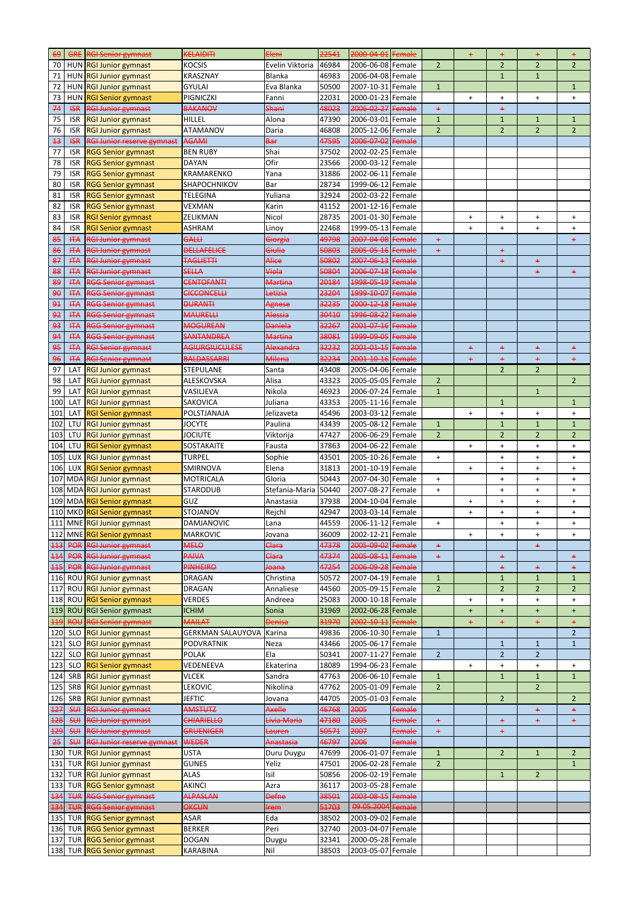| <del>69</del>  | <b>GRE</b> | <b>RGI Senior gymnast</b>         | <b>KELAIDITI</b>         | <b>Eleni</b>      | 22541 | 2000-04-01        | <del>Female</del> |                | $\ddot{}$ | $\ddot{}$                        | ÷              | $\ddot{}$      |
|----------------|------------|-----------------------------------|--------------------------|-------------------|-------|-------------------|-------------------|----------------|-----------|----------------------------------|----------------|----------------|
| 70             |            | HUN RGI Junior gymnast            | <b>KOCSIS</b>            | Evelin Viktoria   | 46984 | 2006-06-08 Female |                   | $\overline{2}$ |           | $\overline{2}$                   | $\overline{2}$ | $\overline{2}$ |
| 71             |            | HUN RGI Junior gymnast            | <b>KRASZNAY</b>          | Blanka            | 46983 | 2006-04-08 Female |                   |                |           | 1                                | $\mathbf{1}$   |                |
| 72             |            | HUN RGI Junior gymnast            | <b>GYULAI</b>            | Eva Blanka        | 50500 | 2007-10-31 Female |                   | $\mathbf{1}$   |           |                                  |                | $\mathbf{1}$   |
| 73             | <b>HUN</b> | <b>RGI Senior gymnast</b>         | PIGNICZKI                | Fanni             | 22031 | 2000-01-23 Female |                   |                | $\ddot{}$ | $\ddot{}$                        | $\ddot{}$      | $\ddot{}$      |
|                |            |                                   | <b>BAKANOV</b>           | <b>Shani</b>      | 48023 | 2006-02-27        | Female            |                |           |                                  |                |                |
| 74             | $H\!S\!R$  | <b>RGI Junior gymnast</b>         |                          |                   |       |                   |                   | $\ddot{}$      |           | $\ddot{}$                        |                |                |
| 75             | <b>ISR</b> | <b>RGI Junior gymnast</b>         | <b>HILLEL</b>            | Alona             | 47390 | 2006-03-01 Female |                   | $\mathbf{1}$   |           | $\mathbf{1}$                     | $\mathbf{1}$   | $\mathbf{1}$   |
| 76             | <b>ISR</b> | <b>RGI Junior gymnast</b>         | <b>ATAMANOV</b>          | Daria             | 46808 | 2005-12-06 Female |                   | 2              |           | $\overline{2}$                   | $\overline{2}$ | $\overline{2}$ |
| 43             | <b>ISR</b> | <b>RGI Junior reserve gymnast</b> | <b>AGAMI</b>             | Bar               | 47595 | 2006-07-02 Female |                   |                |           |                                  |                |                |
| 77             | <b>ISR</b> | <b>RGG Senior gymnast</b>         | <b>BEN RUBY</b>          | Shai              | 37502 | 2002-02-25 Female |                   |                |           |                                  |                |                |
| 78             | <b>ISR</b> | <b>RGG Senior gymnast</b>         | <b>DAYAN</b>             | Ofir              | 23566 | 2000-03-12 Female |                   |                |           |                                  |                |                |
| 79             | <b>ISR</b> | <b>RGG Senior gymnast</b>         | KRAMARENKO               | Yana              | 31886 | 2002-06-11 Female |                   |                |           |                                  |                |                |
| 80             | <b>ISR</b> | <b>RGG Senior gymnast</b>         | SHAPOCHNIKOV             | Bar               | 28734 | 1999-06-12 Female |                   |                |           |                                  |                |                |
|                |            |                                   |                          |                   |       |                   |                   |                |           |                                  |                |                |
| 81             | <b>ISR</b> | <b>RGG Senior gymnast</b>         | <b>TELEGINA</b>          | Yuliana           | 32924 | 2002-03-22 Female |                   |                |           |                                  |                |                |
| 82             | <b>ISR</b> | <b>RGG Senior gymnast</b>         | VEXMAN                   | Karin             | 41152 | 2001-12-16 Female |                   |                |           |                                  |                |                |
| 83             | <b>ISR</b> | <b>RGI Senior gymnast</b>         | ZELIKMAN                 | Nicol             | 28735 | 2001-01-30 Female |                   |                | $+$       | $\ddot{}$                        | $\ddot{}$      | $\ddot{}$      |
| 84             | <b>ISR</b> | <b>RGI Senior gymnast</b>         | <b>ASHRAM</b>            | Linoy             | 22468 | 1999-05-13 Female |                   |                | $+$       | $\ddot{}$                        | $\ddot{}$      | $\ddot{}$      |
| 85             | <b>HTA</b> | <b>RGI Junior gymnast</b>         | <b>GALLI</b>             | Giorgia           | 49798 | 2007-04-08 Female |                   | $\ddot{}$      |           |                                  |                | ÷              |
| 86             | <b>HTA</b> | <b>RGI Junior gymnast</b>         | <b>DELLAFELICE</b>       | Giulia            | 50803 | 2005-05-16 Female |                   | $+$            |           | $+$                              |                |                |
| 87             | <b>HTA</b> | <b>RGI Junior gymnast</b>         | <b>TAGLIETTI</b>         | Alice             | 50802 | 2007-06-13        | Female            |                |           | $\ddot{}$                        | ÷              |                |
|                |            |                                   |                          |                   |       |                   |                   |                |           |                                  |                |                |
| 88             | <b>HTA</b> | RGI Junior gymnast                | <b>SELLA</b>             | Viola             | 50804 | 2006-07-18 Female |                   |                |           |                                  | $\ddot{}$      | $\ddot{}$      |
| 89             | <b>HTA</b> | RGG Senior gymnast                | <b>CENTOFANTI</b>        | <b>Martina</b>    | 20184 | 1998-05-19 Female |                   |                |           |                                  |                |                |
| 90             | <b>HTA</b> | <b>RGG Senior gymnast</b>         | <b>CICCONCELLI</b>       | Letizia           | 23204 | 1999-10-07 Female |                   |                |           |                                  |                |                |
| 91             | <b>HTA</b> | RGG Senior gymnast                | <b>DURANTI</b>           | Agnese            | 32235 | 2000-12-18 Female |                   |                |           |                                  |                |                |
| 92             | <b>HTA</b> | <b>RGG Senior gymnast</b>         | <b>MAURELLI</b>          | Alessia           | 30410 | 1996-08-22        | Female            |                |           |                                  |                |                |
| 93             | <b>HTA</b> | <b>RGG Senior gymnast</b>         | <b>MOGUREAN</b>          | <b>Daniela</b>    | 32267 | 2001-07-16 Female |                   |                |           |                                  |                |                |
| 94             | <b>HTA</b> | RGG Senior gymnast                | <b>SANTANDREA</b>        | <b>Martina</b>    | 38081 | 1999-09-05 Female |                   |                |           |                                  |                |                |
|                |            |                                   | <b>AGIURGIUCULESE</b>    |                   | 32232 | 2001-01-15        |                   |                |           |                                  |                |                |
| 95             | <b>HTA</b> | <b>RGI Senior gymnast</b>         |                          | Alexandra         |       |                   | Female            |                | $\ddot{}$ | $\ddot{}$                        | $\ddot{}$      | $\ddot{}$      |
| 96             | <b>HTA</b> | <b>RGI Senior gymnast</b>         | <b>BALDASSARRI</b>       | <b>Milena</b>     | 32234 | 2001-10-16 Female |                   |                | $+$       | $+$                              | $\ddot{}$      | $+$            |
| 97             | LAT        | <b>RGI Junior gymnast</b>         | <b>STEPULANE</b>         | Santa             | 43408 | 2005-04-06 Female |                   |                |           | 2                                | $\overline{2}$ |                |
| 98             |            | LAT RGI Junior gymnast            | ALESKOVSKA               | Alisa             | 43323 | 2005-05-05 Female |                   | $\overline{2}$ |           |                                  |                | $\overline{2}$ |
| 99             | <b>LAT</b> | <b>RGI Junior gymnast</b>         | VASILJEVA                | Nikola            | 46923 | 2006-07-24 Female |                   | $\mathbf{1}$   |           |                                  | $\mathbf{1}$   |                |
| 100            | LAT        | <b>RGI Junior gymnast</b>         | SAKOVICA                 | Juliana           | 43353 | 2005-11-16 Female |                   |                |           | $\mathbf{1}$                     |                | $\mathbf{1}$   |
| 101            | LAT        | <b>RGI Senior gymnast</b>         | POLSTJANAJA              | Jelizaveta        | 45496 | 2003-03-12 Female |                   |                | $\ddot{}$ | $\begin{array}{c} + \end{array}$ | $+$            | $\ddot{}$      |
|                |            |                                   |                          |                   |       |                   |                   |                |           |                                  |                |                |
| 102            | LTU        | <b>RGI Junior gymnast</b>         | <b>JOCYTE</b>            | Paulina           | 43439 | 2005-08-12 Female |                   | $\mathbf{1}$   |           | $\mathbf{1}$                     | $\mathbf{1}$   | 1              |
| 103            | LTU        | <b>RGI Junior gymnast</b>         | <b>JOCIUTE</b>           | Viktorija         | 47427 | 2006-06-29 Female |                   | $\overline{2}$ |           | $\overline{2}$                   | $\overline{2}$ | $\overline{2}$ |
| 104            | LTU        | <b>RGI Senior gymnast</b>         | <b>SOSTAKAITE</b>        | Fausta            | 37863 | 2004-06-22 Female |                   |                | $\ddot{}$ | $\ddot{}$                        | $\ddot{}$      | $\ddot{}$      |
| 105            |            | LUX RGI Junior gymnast            | <b>TURPEL</b>            | Sophie            | 43501 | 2005-10-26 Female |                   | $\ddot{}$      |           | $\ddot{}$                        | $+$            | $\ddot{}$      |
| 106            |            | LUX RGI Senior gymnast            | SMIRNOVA                 | Elena             | 31813 | 2001-10-19 Female |                   |                | $\ddot{}$ | $\begin{array}{c} + \end{array}$ | $\ddot{}$      | $\ddot{}$      |
| 107            |            | MDA RGI Junior gymnast            | <b>MOTRICALA</b>         | Gloria            | 50443 | 2007-04-30 Female |                   | $\ddot{}$      |           | $\ddot{}$                        | $\ddot{}$      | $\ddot{}$      |
| 108            |            | MDA RGI Junior gymnast            | <b>STARODUB</b>          | Stefania-Maria    | 50440 | 2007-08-27 Female |                   | $\ddot{}$      |           | $\ddot{}$                        | $+$            | $\ddot{}$      |
|                |            |                                   |                          |                   |       |                   |                   |                |           |                                  |                |                |
|                |            | 109 MDA RGI Senior gymnast        | GUZ                      | Anastasia         | 37938 | 2004-10-04 Female |                   |                | $\ddot{}$ | $\ddot{}$                        | $+$            | $+$            |
|                |            | 110 MKD RGI Senior gymnast        | STOJANOV                 | Rejchl            | 42947 | 2003-03-14 Female |                   |                | $\ddot{}$ | $\ddot{}$                        | $+$            | $+$            |
| 111            |            | MNE RGI Junior gymnast            | DAMJANOVIC               | Lana              | 44559 | 2006-11-12 Female |                   | $+$            |           | $\ddot{}$                        | $\ddot{}$      | $\ddot{}$      |
|                |            | 112 MNE RGI Senior gymnast        | <b>MARKOVIC</b>          | Jovana            | 36009 | 2002-12-21 Female |                   |                | $\ddot{}$ | $\ddot{}$                        | $+$            | $\ddot{}$      |
|                |            | <b>POR RGI Junior gymnast</b>     | <b>MELO</b>              | Clara             | 47378 | 2005-09-02 Female |                   | $\ddot{}$      |           |                                  | $\ddot{}$      |                |
| 114            |            | <b>POR RGI Junior gymnast</b>     | PAIVA                    | Clara             | 47374 | 2005-08-11 Female |                   | $\ddot{}$      |           | $\ddot{}$                        |                | $\ddot{}$      |
|                |            |                                   |                          |                   |       | 2006-09-28 Female |                   |                |           |                                  |                |                |
| $115$          |            | <b>POR RGI Junior gymnast</b>     | <b>PINHEIRO</b>          | <del>Joana</del>  | 47254 |                   |                   |                |           | $\ddot{}$                        | +              | $\ddot{}$      |
| 116            |            | ROU RGI Junior gymnast            | <b>DRAGAN</b>            | Christina         | 50572 | 2007-04-19 Female |                   | $\mathbf{1}$   |           | $\mathbf{1}$                     | $\mathbf{1}$   | $\mathbf{1}$   |
| 117            |            | ROU RGI Junior gymnast            | <b>DRAGAN</b>            | Annaliese         | 44560 | 2005-09-15 Female |                   | $\overline{2}$ |           | $\overline{2}$                   | $\overline{2}$ | $\overline{2}$ |
| 118            |            | <b>ROU RGI Senior gymnast</b>     | <b>VERDES</b>            | Andreea           | 25083 | 2000-10-18 Female |                   |                | $\ddot{}$ | $\begin{array}{c} + \end{array}$ | $+$            | $\ddot{}$      |
| 119            |            | ROU RGI Senior gymnast            | <b>ICHIM</b>             | Sonia             | 31969 | 2002-06-28 Female |                   |                | $\ddot{}$ | $\ddot{}$                        | $\ddot{}$      | $\ddot{}$      |
|                |            | <b>ROU RGI Senior gymnast</b>     | <b>MAILAT</b>            | <b>Denisa</b>     | 31970 | 2002-10-11 Female |                   |                | $\ddot{}$ | $\ddot{}$                        | $\ddot{}$      | $\ddot{}$      |
| 120            | <b>SLO</b> | <b>RGI Junior gymnast</b>         | <b>GERKMAN SALAUYOVA</b> | Karina            | 49836 | 2006-10-30 Female |                   | $\mathbf{1}$   |           |                                  |                | $\overline{2}$ |
| 121            | <b>SLO</b> |                                   | <b>PODVRATNIK</b>        |                   | 43466 | 2005-06-17 Female |                   |                |           |                                  |                |                |
|                |            | <b>RGI Junior gymnast</b>         |                          | Neza              |       |                   |                   |                |           | $\mathbf{1}$                     | $\mathbf{1}$   | $\mathbf{1}$   |
| 122            | <b>SLO</b> | <b>RGI Junior gymnast</b>         | <b>POLAK</b>             | Ela               | 50341 | 2007-11-27 Female |                   | $\overline{2}$ |           | $\overline{2}$                   | $\overline{2}$ |                |
| 123            | <b>SLO</b> | <b>RGI Senior gymnast</b>         | VEDENEEVA                | Ekaterina         | 18089 | 1994-06-23 Female |                   |                | $\ddot{}$ | $\ddot{}$                        | $+$            | $\ddot{}$      |
| 124            | <b>SRB</b> | <b>RGI Junior gymnast</b>         | VLCEK                    | Sandra            | 47763 | 2006-06-10 Female |                   | $\mathbf{1}$   |           | $\mathbf{1}$                     | $\mathbf{1}$   | $\mathbf{1}$   |
| 125            | <b>SRB</b> | <b>RGI Junior gymnast</b>         | <b>LEKOVIC</b>           | Nikolina          | 47762 | 2005-01-09 Female |                   | $\overline{2}$ |           |                                  | $\overline{2}$ |                |
| 126            | SRB        | <b>RGI Junior gymnast</b>         | <b>JEFTIC</b>            | Jovana            | 44705 | 2005-01-03 Female |                   |                |           | $\overline{2}$                   |                | $\overline{2}$ |
| 127            | \$H\$      | <b>RGI Junior gymnast</b>         | <b>AMSTUTZ</b>           | Axelle            | 46768 | 2005              | Female            |                |           |                                  | $\ddot{}$      | $\ddot{}$      |
|                | 5H         | <b>RGI Junior gymnast</b>         | <b>CHIARIELLO</b>        | Livia Maria       | 47180 | 2005              | Female            |                |           |                                  |                |                |
| <del>128</del> |            |                                   |                          |                   |       |                   |                   | +              |           | +                                |                | +              |
| <b>129</b>     | \$H\$      | <b>RGI Junior gymnast</b>         | <b>GRUENIGER</b>         | <del>Lauren</del> | 50571 | 2007              | Female            | $\ddot{}$      |           | $\ddot{}$                        |                |                |
| 25             | \$H\$      | <b>RGI Junior reserve gymnast</b> | <b>WEDER</b>             | Anastasia         | 46797 | 2006              | Female            |                |           |                                  |                |                |
| 130            |            | TUR RGI Junior gymnast            | <b>USTA</b>              | Duru Duygu        | 47699 | 2006-01-07 Female |                   | $\mathbf{1}$   |           | $\overline{2}$                   | $\mathbf{1}$   | $\overline{2}$ |
| 131            |            | TUR RGI Junior gymnast            | <b>GUNES</b>             | Yeliz             | 47501 | 2006-02-28 Female |                   | $\overline{2}$ |           |                                  |                | $\mathbf{1}$   |
| 132            |            | TUR RGI Junior gymnast            | <b>ALAS</b>              | Isil              | 50856 | 2006-02-19 Female |                   |                |           | $\mathbf{1}$                     | $\overline{2}$ |                |
| 133            |            | <b>TUR RGG Senior gymnast</b>     | <b>AKINCI</b>            | Azra              | 36117 | 2003-05-28 Female |                   |                |           |                                  |                |                |
| 134            |            | <b>TUR RGG Senior gymnast</b>     | ALPASLAN                 | <b>Defne</b>      | 38501 | 2003-08-15 Female |                   |                |           |                                  |                |                |
|                |            |                                   |                          |                   |       | 09.05.2004 Female |                   |                |           |                                  |                |                |
| 134            |            | <b>TUR RGG Senior gymnast</b>     | <b>OKCUN</b>             | <b>Irem</b>       | 51703 |                   |                   |                |           |                                  |                |                |
| 135            |            | TUR RGG Senior gymnast            | <b>ASAR</b>              | Eda               | 38502 | 2003-09-02 Female |                   |                |           |                                  |                |                |
| 136            |            | TUR RGG Senior gymnast            | <b>BERKER</b>            | Peri              | 32740 | 2003-04-07 Female |                   |                |           |                                  |                |                |
| 137            |            | TUR RGG Senior gymnast            | <b>DOGAN</b>             | Duygu             | 32341 | 2000-05-28 Female |                   |                |           |                                  |                |                |
|                |            | 138 TUR RGG Senior gymnast        | KARABINA                 | Nil               | 38503 | 2003-05-07 Female |                   |                |           |                                  |                |                |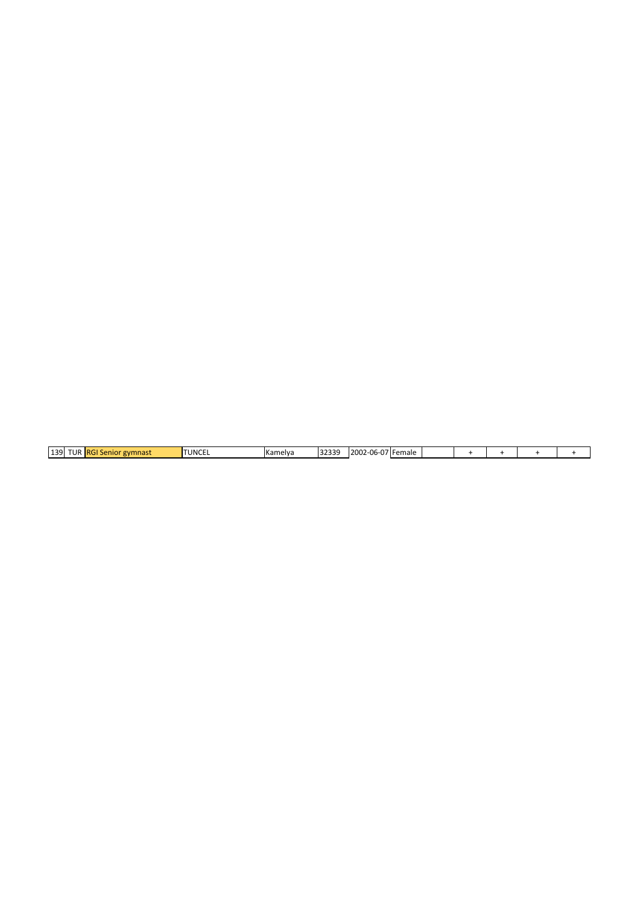|  | 139 | .<br>. ID.<br>רו גו | <b>RGI</b><br>ir gymnast<br>Senior | <b>TUNCEL</b> | <b>I</b> Kamelya | າງຊາດ<br>. د د ۱ | זורח א<br>2002<br>$\sim$<br>. <b>In</b> -1.<br>ึบบ<br>י ש | 'IFemale |  |  |  |  |  |
|--|-----|---------------------|------------------------------------|---------------|------------------|------------------|-----------------------------------------------------------|----------|--|--|--|--|--|
|--|-----|---------------------|------------------------------------|---------------|------------------|------------------|-----------------------------------------------------------|----------|--|--|--|--|--|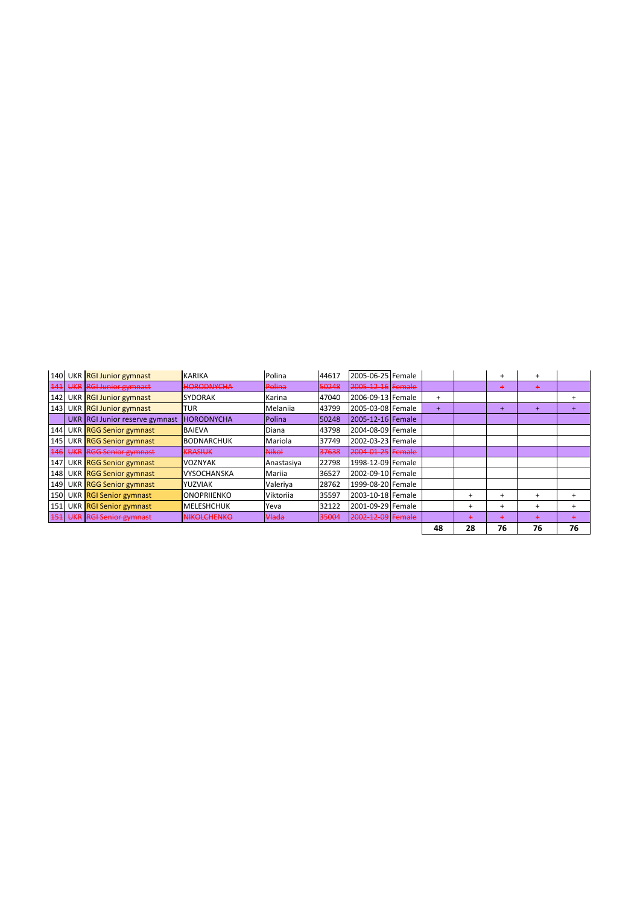| 140        | UKR RGI Junior gymnast         | <b>KARIKA</b>      | <b>Polina</b> | 44617 | 2005-06-25 Female |     |           | $\ddot{}$ | $\ddot{}$ |           |
|------------|--------------------------------|--------------------|---------------|-------|-------------------|-----|-----------|-----------|-----------|-----------|
| 141        | UKR RGI Junior gymnast         | <b>HORODNYCHA</b>  | Polina        | 50248 | 2005-12-16 Female |     |           | +         | $\ddot{}$ |           |
| 142        | UKR RGI Junior gymnast         | <b>SYDORAK</b>     | Karina        | 47040 | 2006-09-13 Female | $+$ |           |           |           | $\div$    |
| 143        | UKR RGI Junior gymnast         | TUR                | Melaniia      | 43799 | 2005-03-08 Female | $+$ |           | $\ddot{}$ | $\ddot{}$ |           |
|            | UKR RGI Junior reserve gymnast | <b>HORODNYCHA</b>  | Polina        | 50248 | 2005-12-16 Female |     |           |           |           |           |
| 144        | UKR RGG Senior gymnast         | <b>BAIEVA</b>      | Diana         | 43798 | 2004-08-09 Female |     |           |           |           |           |
| 145        | UKR RGG Senior gymnast         | <b>BODNARCHUK</b>  | Mariola       | 37749 | 2002-03-23 Female |     |           |           |           |           |
| <b>146</b> | UKR RGG Senior gymnast         | <b>KRASIUK</b>     | <b>Nikol</b>  | 37638 | 2004-01-25 Female |     |           |           |           |           |
| 147        | UKR RGG Senior gymnast         | <b>VOZNYAK</b>     | Anastasiya    | 22798 | 1998-12-09 Female |     |           |           |           |           |
|            | 148 UKR RGG Senior gymnast     | <b>VYSOCHANSKA</b> | Mariia        | 36527 | 2002-09-10 Female |     |           |           |           |           |
| 149        | UKR RGG Senior gymnast         | <b>YUZVIAK</b>     | Valeriya      | 28762 | 1999-08-20 Female |     |           |           |           |           |
| 150        | UKR RGI Senior gymnast         | <b>ONOPRIJENKO</b> | Viktoriia     | 35597 | 2003-10-18 Female |     | $\div$    | $\div$    | $\pm$     | $\ddot{}$ |
| 151        | UKR RGI Senior gymnast         | <b>MELESHCHUK</b>  | Yeva          | 32122 | 2001-09-29 Female |     | $\ddot{}$ | $\ddot{}$ | $\ddot{}$ | $\ddot{}$ |
| 151        | UKR RGI Senior gymnast         | <b>NIKOLCHENKO</b> | Hada          | 35004 | 2002-12-09 Female |     | ٠         | $\ddot{}$ | ٠         |           |
|            |                                |                    |               |       |                   | 48  | 28        | 76        | 76        | 76        |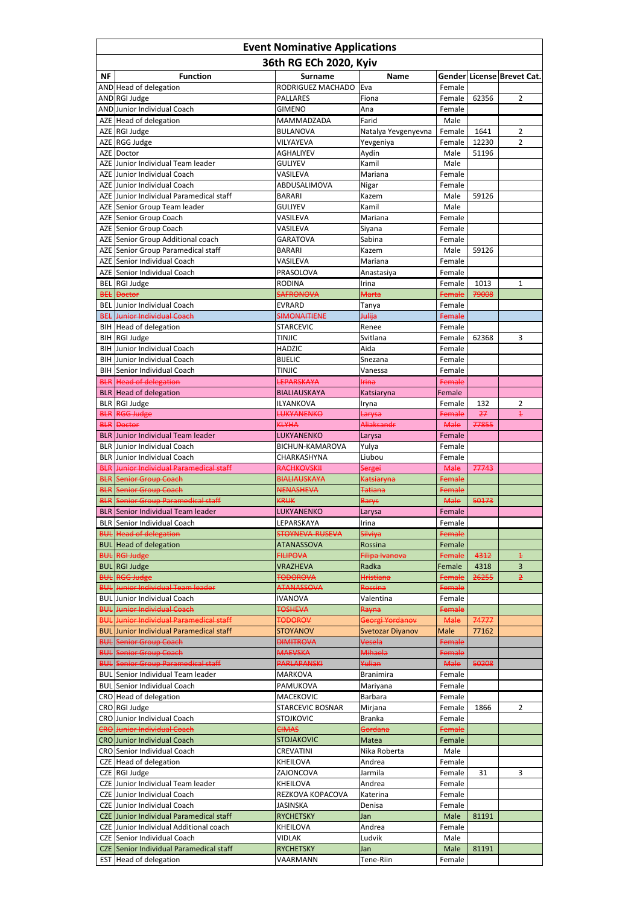| <b>Event Nominative Applications</b> |                                                                                |                                  |                            |                  |       |                            |  |
|--------------------------------------|--------------------------------------------------------------------------------|----------------------------------|----------------------------|------------------|-------|----------------------------|--|
|                                      |                                                                                | 36th RG ECh 2020, Kyiv           |                            |                  |       |                            |  |
| <b>NF</b>                            | <b>Function</b>                                                                | <b>Surname</b>                   | <b>Name</b>                |                  |       | Gender License Brevet Cat. |  |
|                                      | AND Head of delegation                                                         | RODRIGUEZ MACHADO                | Eva                        | Female           |       |                            |  |
|                                      | AND RGI Judge                                                                  | <b>PALLARES</b>                  | Fiona                      | Female           | 62356 | 2                          |  |
|                                      | AND Junior Individual Coach<br>AZE Head of delegation                          | <b>GIMENO</b><br>MAMMADZADA      | Ana<br>Farid               | Female           |       |                            |  |
|                                      | AZE RGI Judge                                                                  | <b>BULANOVA</b>                  | Natalya Yevgenyevna        | Male<br>Female   | 1641  | 2                          |  |
|                                      | AZE RGG Judge                                                                  | VILYAYEVA                        | Yevgeniya                  | Female           | 12230 | $\overline{2}$             |  |
|                                      | AZE Doctor                                                                     | <b>AGHALIYEV</b>                 | Aydin                      | Male             | 51196 |                            |  |
|                                      | AZE Junior Individual Team leader                                              | <b>GULIYEV</b>                   | Kamil                      | Male             |       |                            |  |
|                                      | AZE Junior Individual Coach                                                    | VASILEVA                         | Mariana                    | Female           |       |                            |  |
|                                      | AZE Junior Individual Coach<br>AZE Junior Individual Paramedical staff         | ABDUSALIMOVA<br><b>BARARI</b>    | Nigar<br>Kazem             | Female<br>Male   | 59126 |                            |  |
|                                      | AZE Senior Group Team leader                                                   | <b>GULIYEV</b>                   | Kamil                      | Male             |       |                            |  |
|                                      | AZE Senior Group Coach                                                         | VASILEVA                         | Mariana                    | Female           |       |                            |  |
|                                      | AZE Senior Group Coach                                                         | VASILEVA                         | Siyana                     | Female           |       |                            |  |
|                                      | AZE Senior Group Additional coach                                              | <b>GARATOVA</b>                  | Sabina                     | Female           |       |                            |  |
|                                      | AZE Senior Group Paramedical staff                                             | <b>BARARI</b>                    | Kazem                      | Male             | 59126 |                            |  |
|                                      | AZE Senior Individual Coach<br>AZE Senior Individual Coach                     | VASILEVA<br>PRASOLOVA            | Mariana                    | Female<br>Female |       |                            |  |
|                                      | <b>BEL</b> RGI Judge                                                           | <b>RODINA</b>                    | Anastasiya<br>Irina        | Female           | 1013  | 1                          |  |
|                                      | <b>BEL</b> Doctor                                                              | <b>SAFRONOVA</b>                 | <b>Marta</b>               | Female           | 79008 |                            |  |
|                                      | <b>BEL</b> Junior Individual Coach                                             | <b>EVRARD</b>                    | Tanya                      | Female           |       |                            |  |
|                                      | <b>BEL Junior Individual Coach</b>                                             | <b>SIMONAITIENE</b>              | <b>Julija</b>              | Female           |       |                            |  |
|                                      | BIH Head of delegation                                                         | <b>STARCEVIC</b>                 | Renee                      | Female           |       |                            |  |
|                                      | BIH RGI Judge                                                                  | <b>TINJIC</b>                    | Svitlana                   | Female           | 62368 | 3                          |  |
| <b>BIH</b>                           | Junior Individual Coach<br><b>BIH</b> Junior Individual Coach                  | <b>HADZIC</b><br><b>BIJELIC</b>  | Aida                       | Female           |       |                            |  |
|                                      | <b>BIH</b> Senior Individual Coach                                             | <b>TINJIC</b>                    | Snezana<br>Vanessa         | Female<br>Female |       |                            |  |
|                                      | <b>BLR</b> Head of delegation                                                  | LEPARSKAYA                       | <b>Irina</b>               | <b>Female</b>    |       |                            |  |
|                                      | <b>BLR</b> Head of delegation                                                  | <b>BIALIAUSKAYA</b>              | Katsiaryna                 | Female           |       |                            |  |
|                                      | BLR RGI Judge                                                                  | ILYANKOVA                        | Iryna                      | Female           | 132   | 2                          |  |
|                                      | <b>BLR RGG Judge</b>                                                           | <b>LUKYANENKO</b>                | <del>Larysa</del>          | Female           | 27    | $\pm$                      |  |
|                                      | <b>BLR</b> Doctor                                                              | <b>KLYHA</b>                     | Aliaksandr                 | <b>Male</b>      | 77855 |                            |  |
|                                      | <b>BLR</b> Junior Individual Team leader<br><b>BLR</b> Junior Individual Coach | LUKYANENKO<br>BICHUN-KAMAROVA    | Larysa                     | Female<br>Female |       |                            |  |
|                                      | <b>BLR</b> Junior Individual Coach                                             | CHARKASHYNA                      | Yulya<br>Liubou            | Female           |       |                            |  |
|                                      | <b>BLR</b> Junior Individual Paramedical staff                                 | <b>RACHKOVSKII</b>               | <del>Sergei</del>          | <b>Male</b>      | 77743 |                            |  |
|                                      | <b>BLR Senior Group Coach</b>                                                  | <b>BIALIAUSKAYA</b>              | Katsiaryna                 | Female           |       |                            |  |
|                                      | <b>BLR Senior Group Coach</b>                                                  | <b>NENASHEVA</b>                 | <del>Tatiana</del>         | Female           |       |                            |  |
|                                      | <b>BLR Senior Group Paramedical staff</b>                                      | <b>KRUK</b>                      | <b>Barys</b>               | <b>Male</b>      | 50173 |                            |  |
|                                      | <b>BLR</b> Senior Individual Team leader                                       | LUKYANENKO                       | Larysa                     | Female           |       |                            |  |
|                                      | <b>BLR</b> Senior Individual Coach<br><b>BUL</b> Head of delegation            | LEPARSKAYA<br>STOYNEVA-RUSEVA    | Irina<br><b>Silviya</b>    | Female<br>Female |       |                            |  |
|                                      | <b>BUL</b> Head of delegation                                                  | <b>ATANASSOVA</b>                | Rossina                    | Female           |       |                            |  |
| <b>BUL</b>                           | <b>RGI Judge</b>                                                               | <b>FILIPOVA</b>                  | Filipa Ivanova             | Female           | 4312  | $\pm$                      |  |
|                                      | <b>BUL</b> RGI Judge                                                           | <b>VRAZHEVA</b>                  | Radka                      | Female           | 4318  | 3                          |  |
|                                      | <b>BUL RGG Judge</b>                                                           | <b>TODOROVA</b>                  | <b>Hristiana</b>           | Female           | 26255 | $\overline{2}$             |  |
|                                      | <b>BUL Junior Individual Team leader</b>                                       | <b>ATANASSOVA</b>                | Rossina                    | Female           |       |                            |  |
| <b>BUL</b>                           | Junior Individual Coach<br><b>Junior Individual Coach</b>                      | <b>IVANOVA</b><br><b>TOSHEVA</b> | Valentina                  | Female<br>Female |       |                            |  |
| <b>BUL</b><br><b>BUL</b>             | Junior Individual Paramedical staff                                            | <b>TODOROV</b>                   | Rayna<br>Georgi Yordanov   | <b>Male</b>      | 74777 |                            |  |
| <b>BUL</b>                           | Junior Individual Paramedical staff                                            | <b>STOYANOV</b>                  | <b>Svetozar Diyanov</b>    | Male             | 77162 |                            |  |
|                                      | <b>BUL Senior Group Coach</b>                                                  | <b>DIMITROVA</b>                 | Vesela                     | Female           |       |                            |  |
|                                      | <b>BUL Senior Group Coach</b>                                                  | <b>MAEVSKA</b>                   | Mihaela                    | Female           |       |                            |  |
|                                      | <b>BUL Senior Group Paramedical staff</b>                                      | <b>PARLAPANSKI</b>               | Yulian                     | <b>Male</b>      | 50208 |                            |  |
|                                      | <b>BUL Senior Individual Team leader</b><br><b>BUL</b> Senior Individual Coach | <b>MARKOVA</b>                   | <b>Branimira</b>           | Female           |       |                            |  |
|                                      | CRO Head of delegation                                                         | PAMUKOVA<br><b>MACEKOVIC</b>     | Mariyana<br><b>Barbara</b> | Female<br>Female |       |                            |  |
|                                      | CRO RGI Judge                                                                  | <b>STARCEVIC BOSNAR</b>          | Mirjana                    | Female           | 1866  | 2                          |  |
|                                      | <b>CRO</b> Junior Individual Coach                                             | <b>STOJKOVIC</b>                 | <b>Branka</b>              | Female           |       |                            |  |
|                                      | <b>CRO</b> Junior Individual Coach                                             | <b>CIMAS</b>                     | Gordana                    | Female           |       |                            |  |
|                                      | <b>CRO</b> Junior Individual Coach                                             | <b>STOJAKOVIC</b>                | Matea                      | Female           |       |                            |  |
|                                      | CRO Senior Individual Coach                                                    | <b>CREVATINI</b>                 | Nika Roberta               | Male             |       |                            |  |
|                                      | CZE Head of delegation<br>CZE RGI Judge                                        | KHEILOVA<br>ZAJONCOVA            | Andrea<br>Jarmila          | Female           | 31    | 3                          |  |
|                                      | CZE Junior Individual Team leader                                              | KHEILOVA                         | Andrea                     | Female<br>Female |       |                            |  |
|                                      | <b>CZE</b> Junior Individual Coach                                             | REZKOVA KOPACOVA                 | Katerina                   | Female           |       |                            |  |
|                                      | <b>CZE</b> Junior Individual Coach                                             | <b>JASINSKA</b>                  | Denisa                     | Female           |       |                            |  |
|                                      | CZE Junior Individual Paramedical staff                                        | <b>RYCHETSKY</b>                 | Jan                        | Male             | 81191 |                            |  |
|                                      | CZE Junior Individual Additional coach                                         | KHEILOVA                         | Andrea                     | Female           |       |                            |  |
|                                      | CZE Senior Individual Coach                                                    | <b>VIDLAK</b>                    | Ludvik                     | Male             |       |                            |  |
|                                      | CZE Senior Individual Paramedical staff                                        | <b>RYCHETSKY</b>                 | Jan<br>Tene-Riin           | Male             | 81191 |                            |  |
|                                      | <b>EST</b> Head of delegation                                                  | VAARMANN                         |                            | Female           |       |                            |  |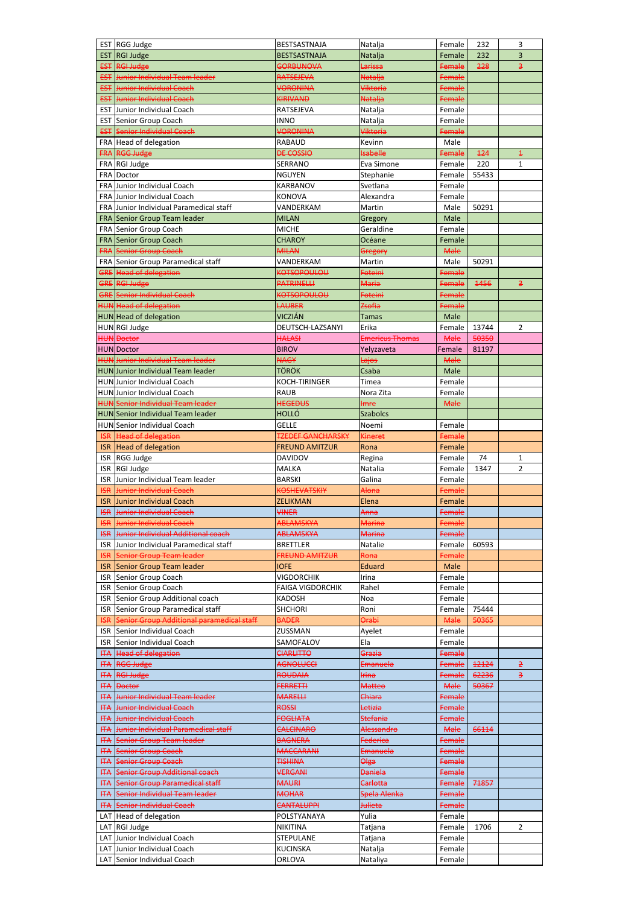|                | EST RGG Judge                                              | BESTSASTNAJA                     | Natalja                | Female           | 232   | 3                       |
|----------------|------------------------------------------------------------|----------------------------------|------------------------|------------------|-------|-------------------------|
| <b>EST</b>     | RGI Judge                                                  | <b>BESTSASTNAJA</b>              | Natalja                | Female           | 232   | 3                       |
|                | <b>EST RGI Judge</b>                                       |                                  | <b>Larissa</b>         | Female           | 228   | B,                      |
|                | <b>EST</b> Junior Individual Team leader                   | <b>GORBUNOVA</b><br>RATSEJEVA    |                        |                  |       |                         |
|                |                                                            |                                  | <b>Natalja</b>         | Female           |       |                         |
|                | <b>EST</b> Junior Individual Coach                         | <b>VORONINA</b>                  | Viktoria               | Female           |       |                         |
|                | <b>EST</b> Junior Individual Coach                         | KIRIVAND                         | <b>Natalja</b>         | Female           |       |                         |
|                | <b>EST</b> Junior Individual Coach                         | RATSEJEVA                        | Natalja                | Female           |       |                         |
|                | <b>EST Senior Group Coach</b>                              | <b>INNO</b>                      | Natalja                | Female           |       |                         |
|                | <b>EST</b> Senior Individual Coach                         | <b>VORONINA</b>                  | <b>Viktoria</b>        | Female           |       |                         |
|                | FRA Head of delegation                                     | <b>RABAUD</b>                    | Kevinn                 | Male             |       |                         |
|                | FRA RGG Judge                                              | <b>DE COSSIO</b>                 | <b>Isabelle</b>        | Female           | 124   | $\overline{\textbf{f}}$ |
|                | FRA RGI Judge                                              | <b>SERRANO</b>                   | Eva Simone             | Female           | 220   | 1                       |
|                | FRA Doctor                                                 | <b>NGUYEN</b>                    | Stephanie              | Female           | 55433 |                         |
|                | FRA Junior Individual Coach                                | KARBANOV                         | Svetlana               | Female           |       |                         |
|                | FRA Junior Individual Coach                                | <b>KONOVA</b>                    | Alexandra              | Female           |       |                         |
|                | FRA Junior Individual Paramedical staff                    | VANDERKAM                        | Martin                 | Male             | 50291 |                         |
|                | FRA Senior Group Team leader                               | <b>MILAN</b>                     | Gregory                | Male             |       |                         |
|                | FRA Senior Group Coach                                     | <b>MICHE</b>                     | Geraldine              | Female           |       |                         |
|                |                                                            |                                  |                        |                  |       |                         |
|                | FRA Senior Group Coach                                     | <b>CHAROY</b>                    | Océane                 | Female           |       |                         |
|                | <b>FRA Senior Group Coach</b>                              | <b>MILAN</b>                     | Gregory                | <b>Male</b>      |       |                         |
|                | FRA Senior Group Paramedical staff                         | VANDERKAM                        | Martin                 | Male             | 50291 |                         |
|                | GRE Head of delegation                                     | <b>KOTSOPOULOU</b>               | <b>Foteini</b>         | Female           |       |                         |
|                | <b>GRE RGI Judge</b>                                       | <b>PATRINELLI</b>                | <b>Maria</b>           | Female           | 1456  | з                       |
|                | <b>GRE</b> Senior Individual Coach                         | <b>KOTSOPOULOU</b>               | <b>Foteini</b>         | Female           |       |                         |
|                | <b>HUN Head of delegation</b>                              | <b>LAUBER</b>                    | Zsofia                 | Female           |       |                         |
|                | <b>HUN</b> Head of delegation                              | VICZIÁN                          | <b>Tamas</b>           | Male             |       |                         |
|                | HUNRGI Judge                                               | DEUTSCH-LAZSANYI                 | Erika                  | Female           | 13744 | 2                       |
|                | <b>HUN Doctor</b>                                          | <b>HALASI</b>                    | <b>Emericus Thomas</b> | <b>Male</b>      | 50350 |                         |
|                | HUN Doctor                                                 | <b>BIROV</b>                     | Yelyzaveta             | Female           | 81197 |                         |
|                | <b>HUN Junior Individual Team leader</b>                   | <b>NAGY</b>                      | <del>Lajos</del>       | <b>Male</b>      |       |                         |
|                | <b>HUN</b> Junior Individual Team leader                   | <b>TÖRÖK</b>                     | Csaba                  | Male             |       |                         |
|                |                                                            |                                  |                        |                  |       |                         |
|                | <b>HUN</b> Junior Individual Coach                         | KOCH-TIRINGER                    | Timea                  | Female           |       |                         |
|                | <b>HUN</b> Junior Individual Coach                         | <b>RAUB</b>                      | Nora Zita              | Female           |       |                         |
|                | <b>HUN Senior Individual Team leader</b>                   | <b>HEGEDUS</b>                   | <b>Imre</b>            | <b>Male</b>      |       |                         |
|                | <b>HUN</b> Senior Individual Team leader                   | <b>HOLLÓ</b>                     | <b>Szabolcs</b>        |                  |       |                         |
|                | <b>HUN</b> Senior Individual Coach                         | <b>GELLE</b>                     | Noemi                  | Female           |       |                         |
| <b>ISR</b>     | <b>Head of delegation</b>                                  | <b>TZEDEF GANCHARSKY</b>         | <b>Kineret</b>         | Female           |       |                         |
|                | <b>ISR</b> Head of delegation                              | <b>FREUND AMITZUR</b>            | Rona                   | Female           |       |                         |
| <b>ISR</b>     | RGG Judge                                                  | <b>DAVIDOV</b>                   | Regina                 | Female           | 74    | 1                       |
| <b>ISR</b>     | RGI Judge                                                  | <b>MALKA</b>                     | Natalia                | Female           | 1347  | 2                       |
|                | ISR Junior Individual Team leader                          | <b>BARSKI</b>                    | Galina                 | Female           |       |                         |
|                |                                                            |                                  |                        |                  |       |                         |
|                |                                                            |                                  |                        |                  |       |                         |
| <b>ISR</b>     | Junior Individual Coach                                    | <b>KOSHEVATSKIY</b>              | Alona                  | Female           |       |                         |
| <b>ISR</b>     | Junior Individual Coach                                    | ZELIKMAN                         | Elena                  | Female           |       |                         |
| <b>ISR</b>     | Junior Individual Coach                                    | <b>VINER</b>                     | Anna                   | Female           |       |                         |
| HSR            | Junior Individual Coach                                    | <b>ABLAMSKYA</b>                 | <b>Marina</b>          | Female           |       |                         |
| HSR            | Junior Individual Additional coach                         | <b>ABLAMSKYA</b>                 | <b>Marina</b>          | Female           |       |                         |
| <b>ISR</b>     | Junior Individual Paramedical staff                        | <b>BRETTLER</b>                  | <b>Natalie</b>         | Female           | 60593 |                         |
| <b>ISR</b>     | Senior Group Team leader                                   | <b>FREUND AMITZUR</b>            | <del>Rona</del>        | Female           |       |                         |
| <b>ISR</b>     | Senior Group Team leader                                   | <b>IOFE</b>                      | <b>Eduard</b>          | Male             |       |                         |
| <b>ISR</b>     | Senior Group Coach                                         | VIGDORCHIK                       | Irina                  | Female           |       |                         |
| <b>ISR</b>     | Senior Group Coach                                         | <b>FAIGA VIGDORCHIK</b>          | Rahel                  | Female           |       |                         |
| <b>ISR</b>     | Senior Group Additional coach                              | <b>KADOSH</b>                    | Noa                    | Female           |       |                         |
| <b>ISR</b>     | Senior Group Paramedical staff                             | <b>SHCHORI</b>                   | Roni                   | Female           | 75444 |                         |
| HSR            | Senior Group Additional paramedical staff                  | <b>BADER</b>                     | <b>Orabi</b>           | <b>Male</b>      | 50365 |                         |
| <b>ISR</b>     | Senior Individual Coach                                    | ZUSSMAN                          | Ayelet                 | Female           |       |                         |
| <b>ISR</b>     | Senior Individual Coach                                    | SAMOFALOV                        | Ela                    | Female           |       |                         |
|                |                                                            |                                  | Grazia                 |                  |       |                         |
| <del>ITA</del> | <b>Head of delegation</b>                                  | <b>CIARLITTO</b>                 |                        | Female           |       |                         |
| <b>HTA</b>     | <b>RGG Judge</b>                                           | AGNOLUCCI                        | Emanuela               | Female           | 12124 | $\overline{2}$          |
| <b>HTA</b>     | <b>RGI Judge</b>                                           | <b>ROUDAIA</b>                   | <b>Irina</b>           | Female           | 62236 | $\overline{\mathbf{3}}$ |
| <b>HTA</b>     | <b>Doctor</b>                                              | <b>FERRETTI</b>                  | <b>Matteo</b>          | <b>Male</b>      | 50367 |                         |
| <b>HTA</b>     | Junior Individual Team leader                              | <b>MARELLI</b>                   | Chiara                 | Female           |       |                         |
|                | <b>ITA</b> Junior Individual Coach                         | <b>ROSSI</b>                     | Letizia                | Female           |       |                         |
|                | <b>ITA</b> Junior Individual Coach                         | <b>FOGLIATA</b>                  | <b>Stefania</b>        | Female           |       |                         |
| <b>HTA</b>     | Junior Individual Paramedical staff                        | <b>CALCINARO</b>                 | Alessandro             | <b>Male</b>      | 66114 |                         |
|                | <b>HTA</b> Senior Group Team leader                        | <b>BAGNERA</b>                   | <b>Federica</b>        | Female           |       |                         |
| <b>HTA</b>     | <b>Senior Group Coach</b>                                  | <b>MACCARANI</b>                 | Emanuela               | Female           |       |                         |
| <b>HTA</b>     | <b>Senior Group Coach</b>                                  | <b>TISHINA</b>                   | Olga                   | Female           |       |                         |
|                | <b>ITA</b> Senior Group Additional coach                   | <b>VERGANI</b>                   | <b>Daniela</b>         | Female           |       |                         |
| <b>HTA</b>     | Senior Group Paramedical staff                             | <b>MAURI</b>                     | Carlotta               | Female           | 71857 |                         |
|                |                                                            | <b>MOHAR</b>                     | Spela Alenka           |                  |       |                         |
|                | <b>ITA</b> Senior Individual Team leader                   |                                  |                        | Female           |       |                         |
|                | <b>ITA</b> Senior Individual Coach                         | <b>CANTALUPPI</b>                | <b>Julieta</b>         | Female           |       |                         |
|                | LAT Head of delegation                                     | POLSTYANAYA                      | Yulia                  | Female           |       |                         |
|                | LAT RGI Judge                                              | <b>NIKITINA</b>                  | Tatjana                | Female           | 1706  | $\overline{2}$          |
|                | LAT Junior Individual Coach                                | <b>STEPULANE</b>                 | Tatjana                | Female           |       |                         |
|                | LAT Junior Individual Coach<br>LAT Senior Individual Coach | <b>KUCINSKA</b><br><b>ORLOVA</b> | Natalja<br>Nataliya    | Female<br>Female |       |                         |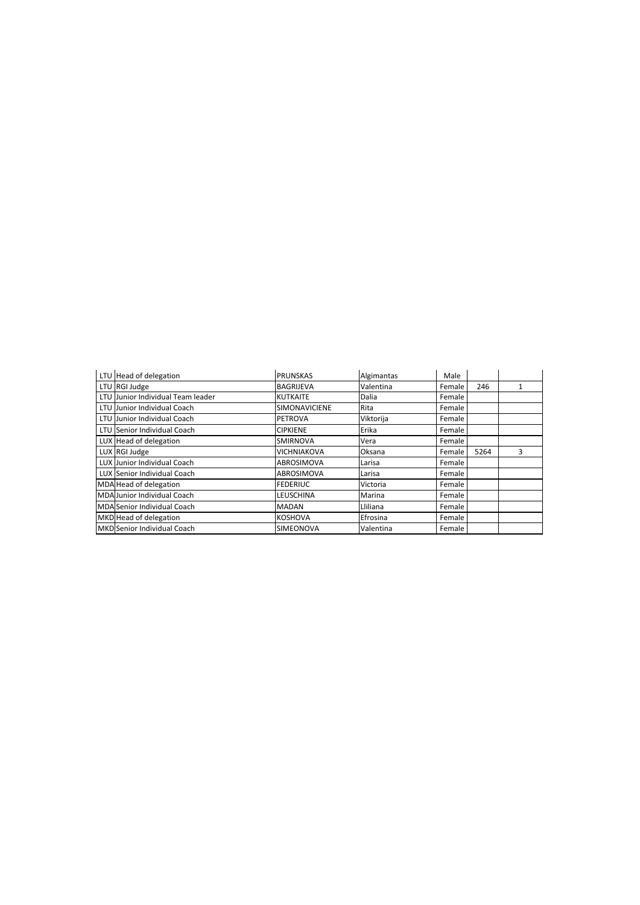| LTU Head of delegation            | <b>PRUNSKAS</b>    | Algimantas | Male   |      |   |
|-----------------------------------|--------------------|------------|--------|------|---|
| LTU RGI Judge                     | <b>BAGRIJEVA</b>   | Valentina  | Female | 246  | 1 |
| LTU Junior Individual Team leader | <b>KUTKAITE</b>    | Dalia      | Female |      |   |
| LTU Junior Individual Coach       | SIMONAVICIENE      | Rita       | Female |      |   |
| LTU Junior Individual Coach       | <b>PETROVA</b>     | Viktorija  | Female |      |   |
| LTU Senior Individual Coach       | <b>CIPKIENE</b>    | Erika      | Female |      |   |
| LUX Head of delegation            | <b>SMIRNOVA</b>    | Vera       | Female |      |   |
| LUX RGI Judge                     | <b>VICHNIAKOVA</b> | Oksana     | Female | 5264 | 3 |
| LUX Junior Individual Coach       | ABROSIMOVA         | Larisa     | Female |      |   |
| LUX Senior Individual Coach       | ABROSIMOVA         | Larisa     | Female |      |   |
| MDA Head of delegation            | <b>FEDERIUC</b>    | Victoria   | Female |      |   |
| MDA Junior Individual Coach       | LEUSCHINA          | Marina     | Female |      |   |
| MDA Senior Individual Coach       | MADAN              | Lliliana   | Female |      |   |
| MKD Head of delegation            | <b>KOSHOVA</b>     | Efrosina   | Female |      |   |
| MKD Senior Individual Coach       | <b>SIMEONOVA</b>   | Valentina  | Female |      |   |